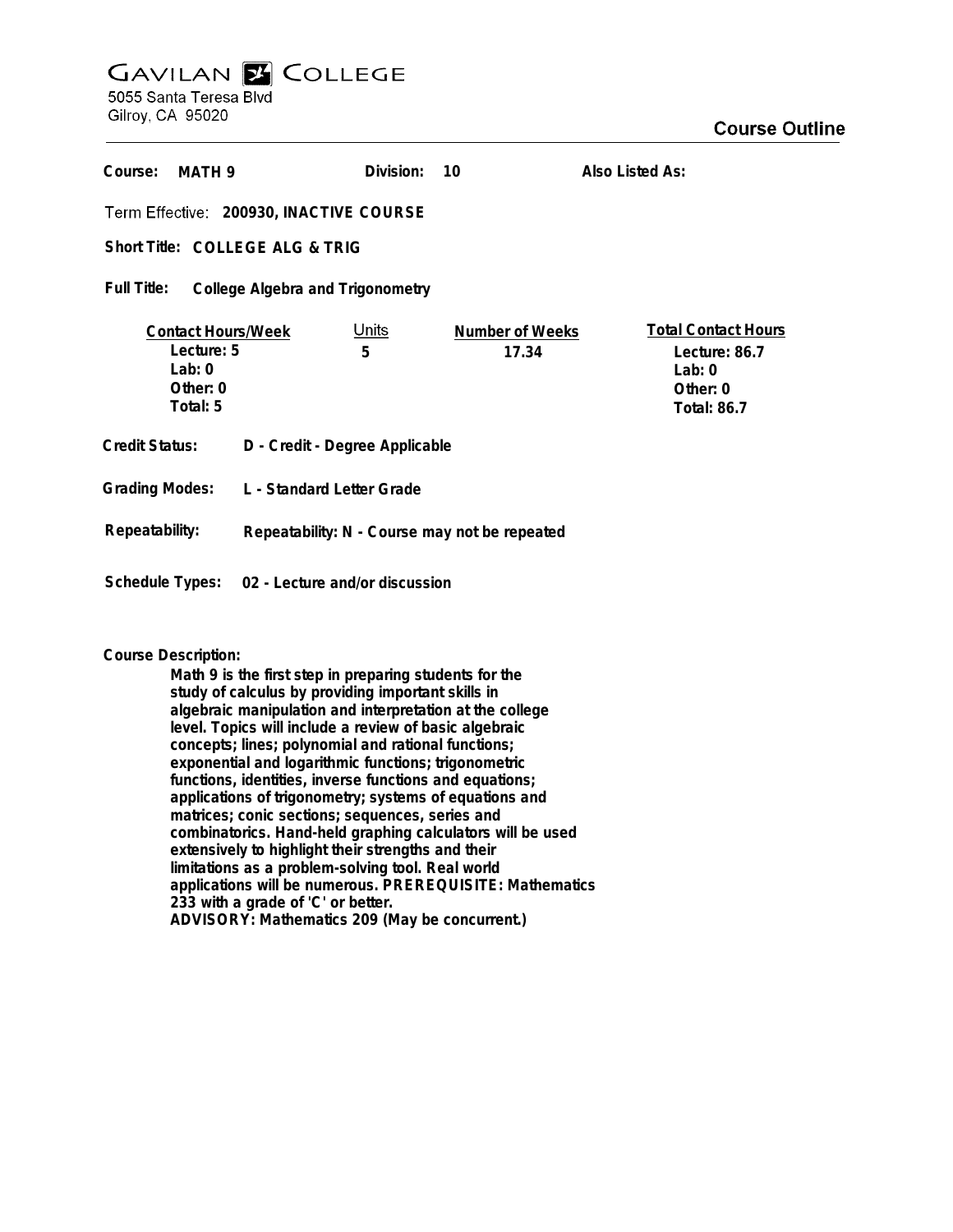## **GAVILAN E COLLEGE** 5055 Santa Teresa Blvd

Gilroy, CA 95020

| Course:                                                                     | MATH 9 | Division:                                     | 10                              | Also Listed As:                                                                           |  |
|-----------------------------------------------------------------------------|--------|-----------------------------------------------|---------------------------------|-------------------------------------------------------------------------------------------|--|
| Term Effective: 200930, INACTIVE COURSE                                     |        |                                               |                                 |                                                                                           |  |
| Short Title: COLLEGE ALG & TRIG                                             |        |                                               |                                 |                                                                                           |  |
| Full Title:<br>College Algebra and Trigonometry                             |        |                                               |                                 |                                                                                           |  |
| <b>Contact Hours/Week</b><br>Lecture: 5<br>Lab: $0$<br>Other: 0<br>Total: 5 |        | <u>Units</u><br>5                             | <b>Number of Weeks</b><br>17.34 | <b>Total Contact Hours</b><br>Lecture: 86.7<br>Lab: $0$<br>Other: 0<br><b>Total: 86.7</b> |  |
| <b>Credit Status:</b>                                                       |        | D - Credit - Degree Applicable                |                                 |                                                                                           |  |
| <b>Grading Modes:</b>                                                       |        | L - Standard Letter Grade                     |                                 |                                                                                           |  |
| Repeatability:                                                              |        | Repeatability: N - Course may not be repeated |                                 |                                                                                           |  |
| Schedule Types:                                                             |        | 02 - Lecture and/or discussion                |                                 |                                                                                           |  |

## **Course Description:**

**Math 9 is the first step in preparing students for the study of calculus by providing important skills in algebraic manipulation and interpretation at the college level. Topics will include a review of basic algebraic concepts; lines; polynomial and rational functions; exponential and logarithmic functions; trigonometric functions, identities, inverse functions and equations; applications of trigonometry; systems of equations and matrices; conic sections; sequences, series and combinatorics. Hand-held graphing calculators will be used extensively to highlight their strengths and their limitations as a problem-solving tool. Real world applications will be numerous. PREREQUISITE: Mathematics 233 with a grade of 'C' or better. ADVISORY: Mathematics 209 (May be concurrent.)**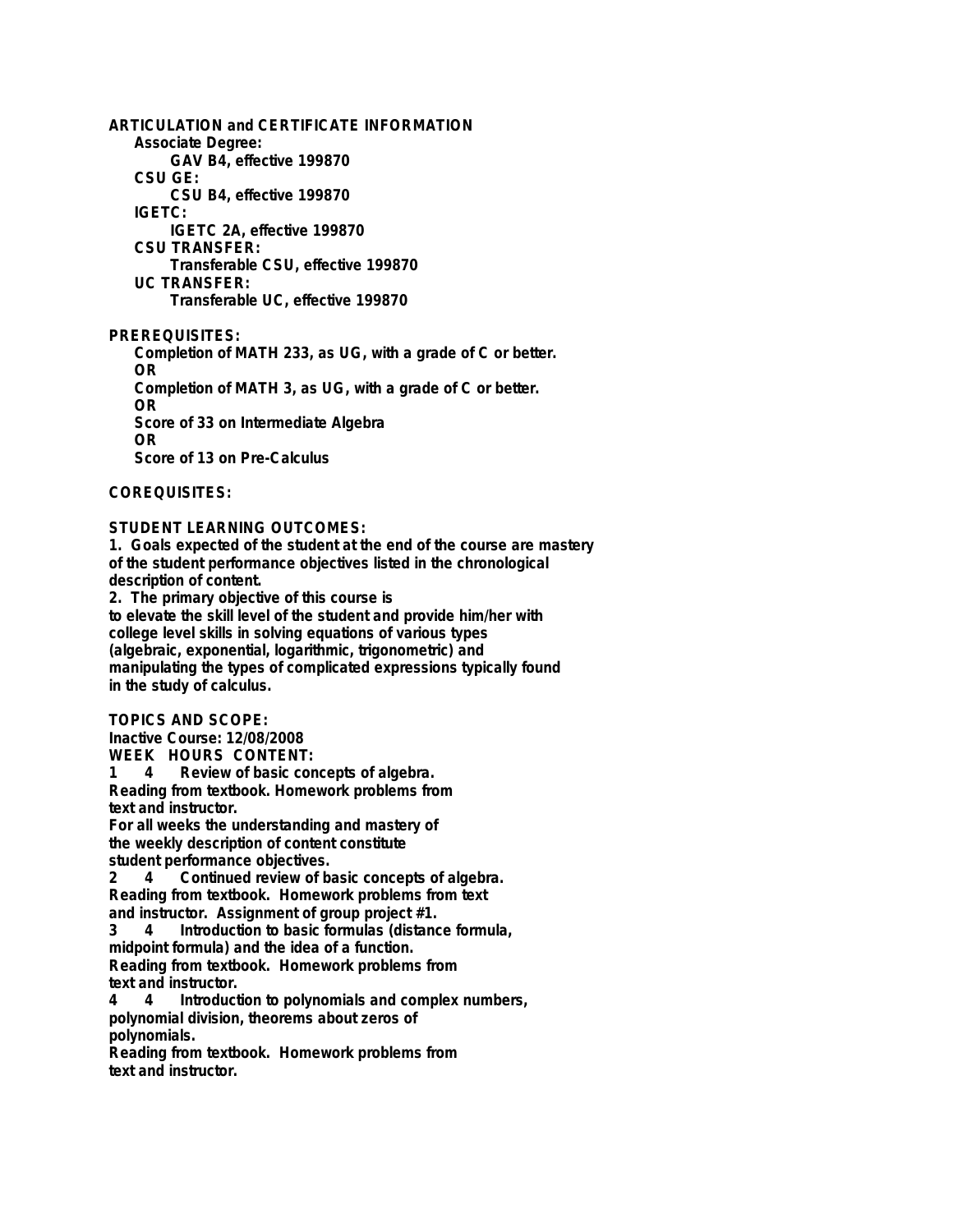**ARTICULATION and CERTIFICATE INFORMATION Associate Degree: GAV B4, effective 199870 CSU GE: CSU B4, effective 199870 IGETC: IGETC 2A, effective 199870 CSU TRANSFER: Transferable CSU, effective 199870 UC TRANSFER: Transferable UC, effective 199870 PREREQUISITES:**

**Completion of MATH 233, as UG, with a grade of C or better. OR Completion of MATH 3, as UG, with a grade of C or better. OR Score of 33 on Intermediate Algebra OR Score of 13 on Pre-Calculus**

**COREQUISITES:**

## **STUDENT LEARNING OUTCOMES:**

**1. Goals expected of the student at the end of the course are mastery of the student performance objectives listed in the chronological description of content.**

**2. The primary objective of this course is to elevate the skill level of the student and provide him/her with college level skills in solving equations of various types (algebraic, exponential, logarithmic, trigonometric) and manipulating the types of complicated expressions typically found in the study of calculus.**

**TOPICS AND SCOPE:**

**Inactive Course: 12/08/2008 WEEK HOURS CONTENT:**

**1 4 Review of basic concepts of algebra.**

**Reading from textbook. Homework problems from text and instructor.**

**For all weeks the understanding and mastery of the weekly description of content constitute student performance objectives.**

**2 4 Continued review of basic concepts of algebra. Reading from textbook. Homework problems from text and instructor. Assignment of group project #1.**

**3 4 Introduction to basic formulas (distance formula, midpoint formula) and the idea of a function. Reading from textbook. Homework problems from text and instructor.**

**4 4 Introduction to polynomials and complex numbers, polynomial division, theorems about zeros of polynomials.**

**Reading from textbook. Homework problems from text and instructor.**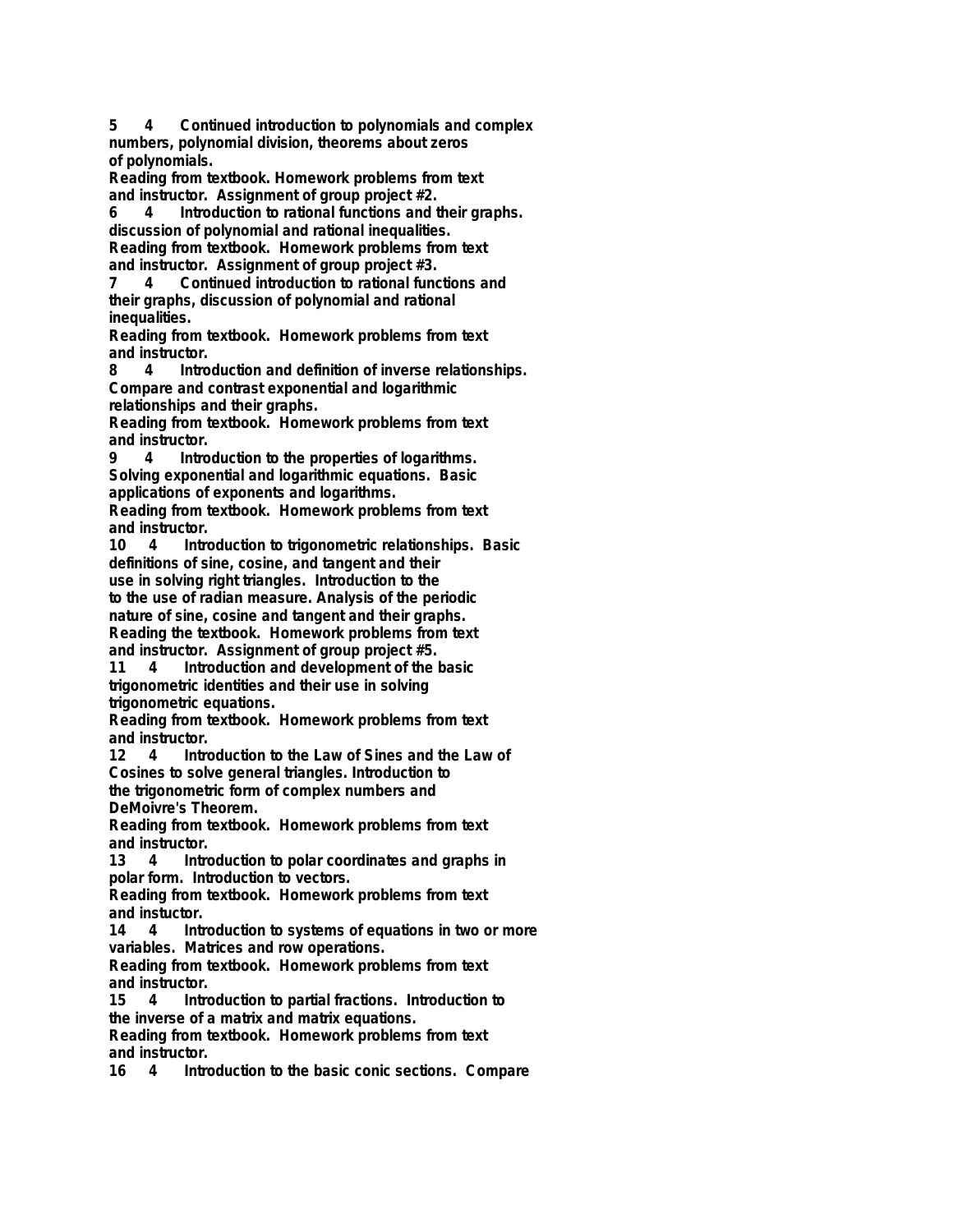**5 4 Continued introduction to polynomials and complex numbers, polynomial division, theorems about zeros of polynomials.**

**Reading from textbook. Homework problems from text and instructor. Assignment of group project #2.**

**6 4 Introduction to rational functions and their graphs. discussion of polynomial and rational inequalities. Reading from textbook. Homework problems from text and instructor. Assignment of group project #3.**

**7 4 Continued introduction to rational functions and their graphs, discussion of polynomial and rational inequalities.**

**Reading from textbook. Homework problems from text and instructor.**

**8 4 Introduction and definition of inverse relationships. Compare and contrast exponential and logarithmic relationships and their graphs.**

**Reading from textbook. Homework problems from text and instructor.**

**9 4 Introduction to the properties of logarithms. Solving exponential and logarithmic equations. Basic applications of exponents and logarithms.**

**Reading from textbook. Homework problems from text and instructor.**

**10 4 Introduction to trigonometric relationships. Basic definitions of sine, cosine, and tangent and their use in solving right triangles. Introduction to the to the use of radian measure. Analysis of the periodic**

**nature of sine, cosine and tangent and their graphs. Reading the textbook. Homework problems from text and instructor. Assignment of group project #5.**

**11 4 Introduction and development of the basic trigonometric identities and their use in solving trigonometric equations.**

**Reading from textbook. Homework problems from text and instructor.**

**12 4 Introduction to the Law of Sines and the Law of Cosines to solve general triangles. Introduction to the trigonometric form of complex numbers and DeMoivre's Theorem.**

**Reading from textbook. Homework problems from text and instructor.**

**13 4 Introduction to polar coordinates and graphs in polar form. Introduction to vectors.**

**Reading from textbook. Homework problems from text and instuctor.**

Introduction to systems of equations in two or more **variables. Matrices and row operations.**

**Reading from textbook. Homework problems from text** and instructor.<br>15 4 Intro

**15 4 Introduction to partial fractions. Introduction to the inverse of a matrix and matrix equations.**

**Reading from textbook. Homework problems from text** and instructor.<br>16 4 Intro

**16 4 Introduction to the basic conic sections. Compare**